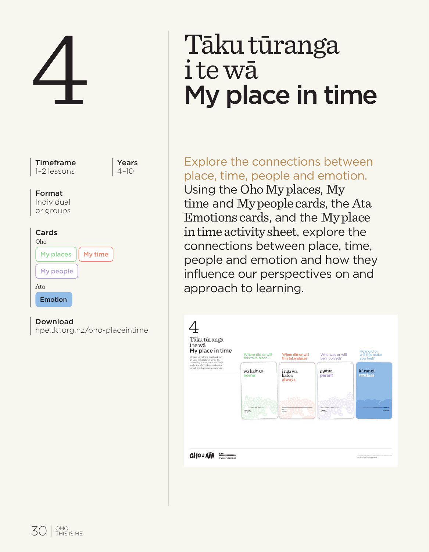

# Tāku tūranga<br>i te wā My place in time

Explore the connections between place, time, people and emotion. Using the Oho My places, My time and My people cards, the Ata Emotions cards, and the My place in time activity sheet, explore the connections between place, time, people and emotion and how they influence our perspectives on and approach to learning.

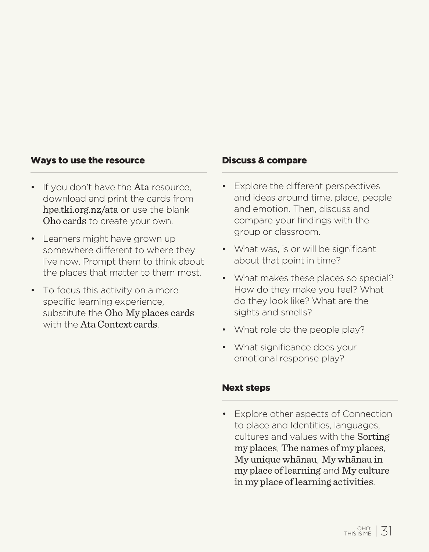#### Ways to use the resource

- If you don't have the Ata resource. download and print the cards from hpe.tki.org.nz/ata or use the blank Oho cards to create your own.
- Learners might have grown up somewhere different to where they live now. Prompt them to think about the places that matter to them most.
- To focus this activity on a more specific learning experience, substitute the Oho My places cards with the Ata Context cards.

#### Discuss & compare

- Explore the different perspectives and ideas around time, place, people and emotion. Then, discuss and compare your findings with the group or classroom.
- What was, is or will be significant about that point in time?
- What makes these places so special? How do they make you feel? What do they look like? What are the sights and smells?
- What role do the people play?
- What significance does your emotional response play?

# Next steps

• Explore other aspects of Connection to place and Identities, languages, cultures and values with the Sorting my places, The names of my places, My unique whānau, My whānau in my place of learning and My culture in my place of learning activities.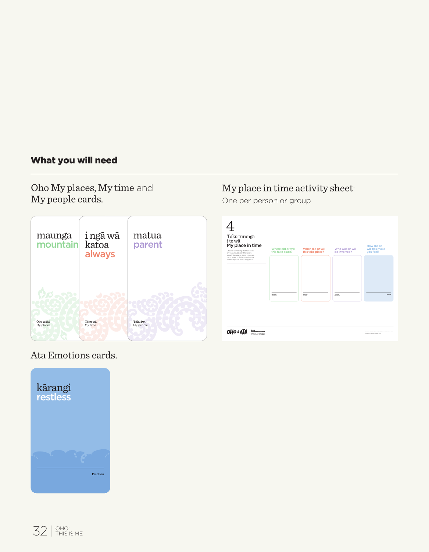# What you will need

Oho My places, My time and My people cards.



# My place in time activity sheet:

One per person or group

| Tāku tūranga<br>i te wā<br>My place in time<br>Choose samething that has been<br>or your mind lately. Maybe EX<br>something you've done, you want<br>to do want to find more about or<br>something that is requiring focus. | Where did or will<br>this take place? | When did or will<br>this take place? | Who was or will<br>he involved? | How did or<br>will this make<br>you feel?                     |
|-----------------------------------------------------------------------------------------------------------------------------------------------------------------------------------------------------------------------------|---------------------------------------|--------------------------------------|---------------------------------|---------------------------------------------------------------|
|                                                                                                                                                                                                                             | <b>County</b><br><b>COLLEGE</b>       | TRUST<br><b>COLLEGE</b>              | Total Card<br>$\sim$            | <b>CONTRACTOR</b>                                             |
| <b>OHO &amp; ATA</b><br><b>Magazine</b>                                                                                                                                                                                     |                                       |                                      |                                 | Contract Manager and<br><b>Martin are not the association</b> |

# Ata Emotions cards.